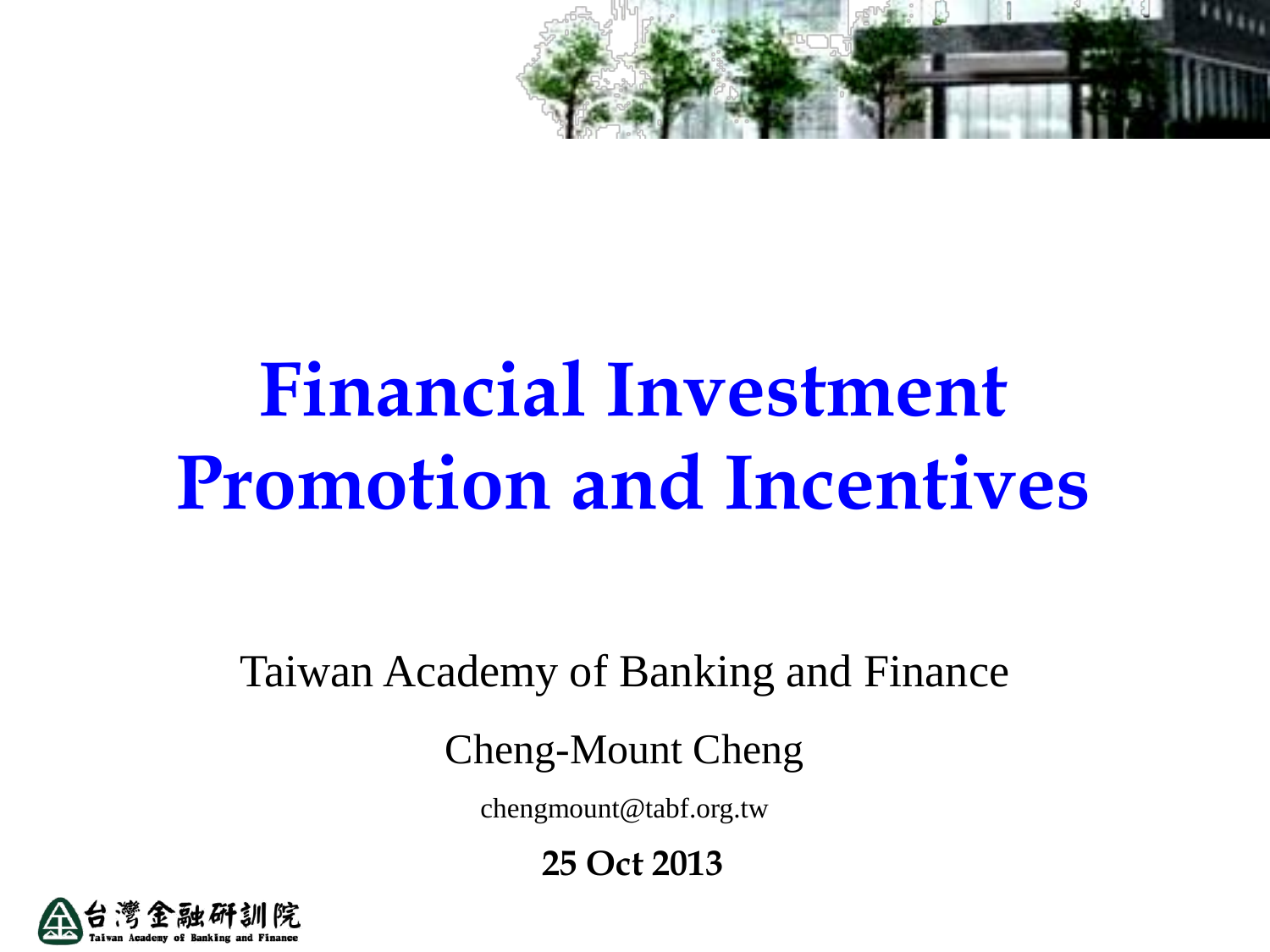

# **Financial Investment Promotion and Incentives**

Taiwan Academy of Banking and Finance

Cheng-Mount Cheng

chengmount@tabf.org.tw

**25 Oct 2013**

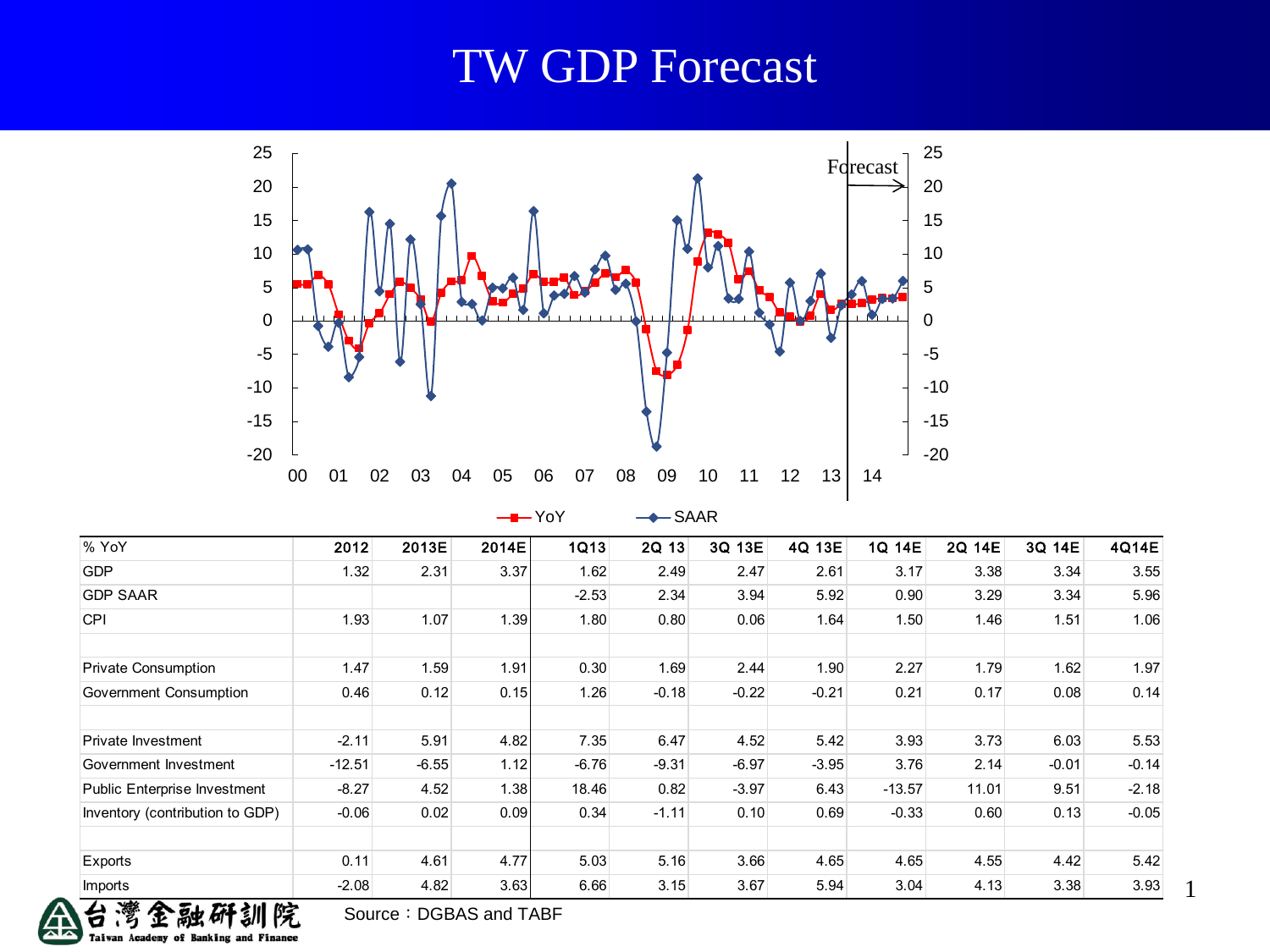### TW GDP Forecast



 $-$  YoY  $-$  SAAR

| % YoY                               | 2012     | 2013E   | 2014E | 1Q13    | <b>2Q 13</b> | 3Q 13E  | 4Q 13E  | 1Q 14E   | 2Q 14E | 3Q 14E  | 4Q14E   |
|-------------------------------------|----------|---------|-------|---------|--------------|---------|---------|----------|--------|---------|---------|
| <b>GDP</b>                          | 1.32     | 2.31    | 3.37  | 1.62    | 2.49         | 2.47    | 2.61    | 3.17     | 3.38   | 3.34    | 3.55    |
| <b>GDP SAAR</b>                     |          |         |       | $-2.53$ | 2.34         | 3.94    | 5.92    | 0.90     | 3.29   | 3.34    | 5.96    |
| <b>CPI</b>                          | 1.93     | 1.07    | 1.39  | 1.80    | 0.80         | 0.06    | 1.64    | 1.50     | 1.46   | 1.51    | 1.06    |
|                                     |          |         |       |         |              |         |         |          |        |         |         |
| <b>Private Consumption</b>          | 1.47     | 1.59    | 1.91  | 0.30    | 1.69         | 2.44    | 1.90    | 2.27     | 1.79   | 1.62    | 1.97    |
| Government Consumption              | 0.46     | 0.12    | 0.15  | 1.26    | $-0.18$      | $-0.22$ | $-0.21$ | 0.21     | 0.17   | 0.08    | 0.14    |
|                                     |          |         |       |         |              |         |         |          |        |         |         |
| Private Investment                  | $-2.11$  | 5.91    | 4.82  | 7.35    | 6.47         | 4.52    | 5.42    | 3.93     | 3.73   | 6.03    | 5.53    |
| Government Investment               | $-12.51$ | $-6.55$ | 1.12  | $-6.76$ | $-9.31$      | $-6.97$ | $-3.95$ | 3.76     | 2.14   | $-0.01$ | $-0.14$ |
| <b>Public Enterprise Investment</b> | $-8.27$  | 4.52    | 1.38  | 18.46   | 0.82         | $-3.97$ | 6.43    | $-13.57$ | 11.01  | 9.51    | $-2.18$ |
| Inventory (contribution to GDP)     | $-0.06$  | 0.02    | 0.09  | 0.34    | $-1.11$      | 0.10    | 0.69    | $-0.33$  | 0.60   | 0.13    | $-0.05$ |
|                                     |          |         |       |         |              |         |         |          |        |         |         |
| Exports                             | 0.11     | 4.61    | 4.77  | 5.03    | 5.16         | 3.66    | 4.65    | 4.65     | 4.55   | 4.42    | 5.42    |
| <b>Imports</b>                      | $-2.08$  | 4.82    | 3.63  | 6.66    | 3.15         | 3.67    | 5.94    | 3.04     | 4.13   | 3.38    | 3.93    |

1

疏 **Taiwan Academy** 

Source: DGBAS and TABF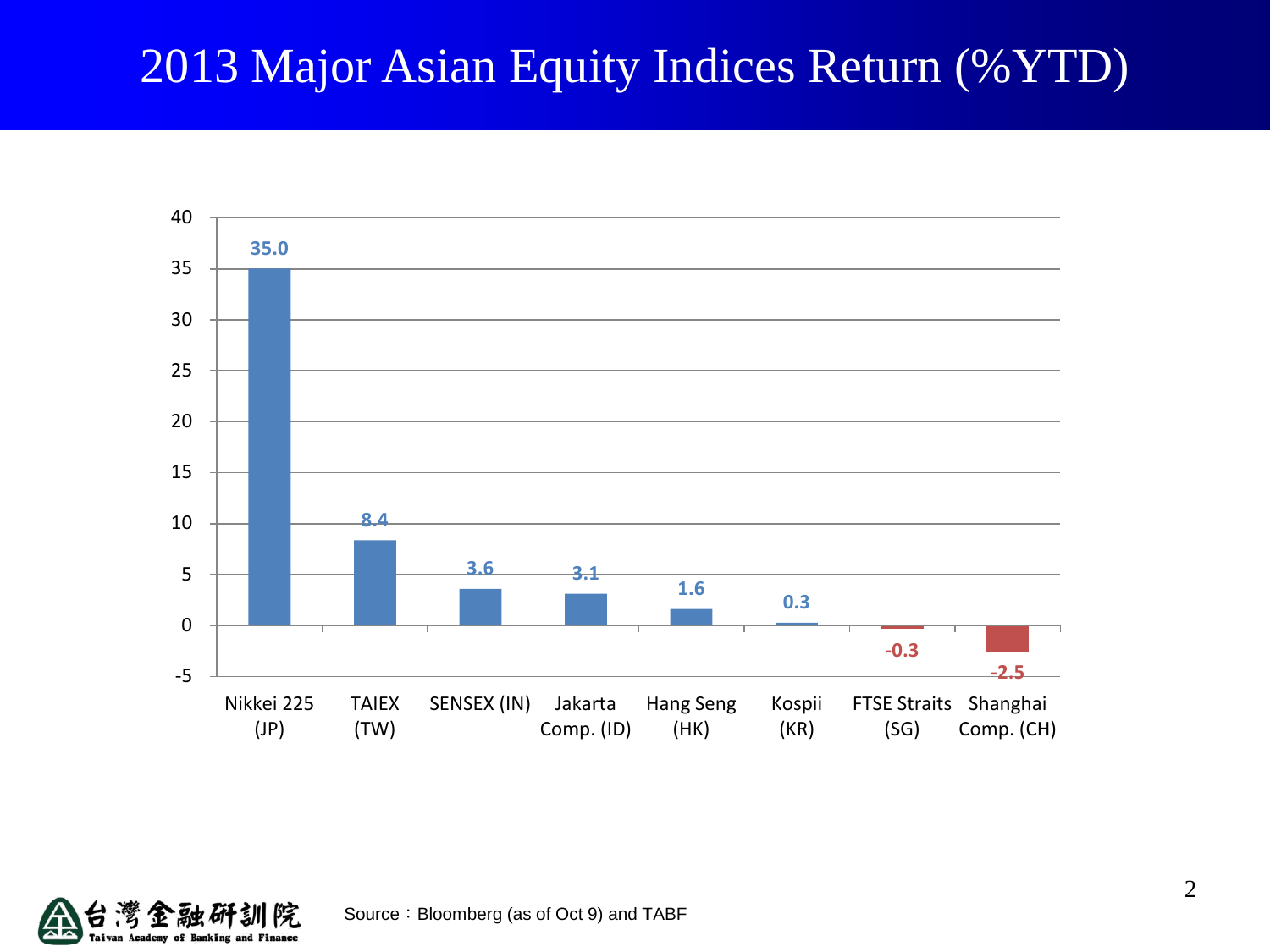## 2013 Major Asian Equity Indices Return (%YTD)



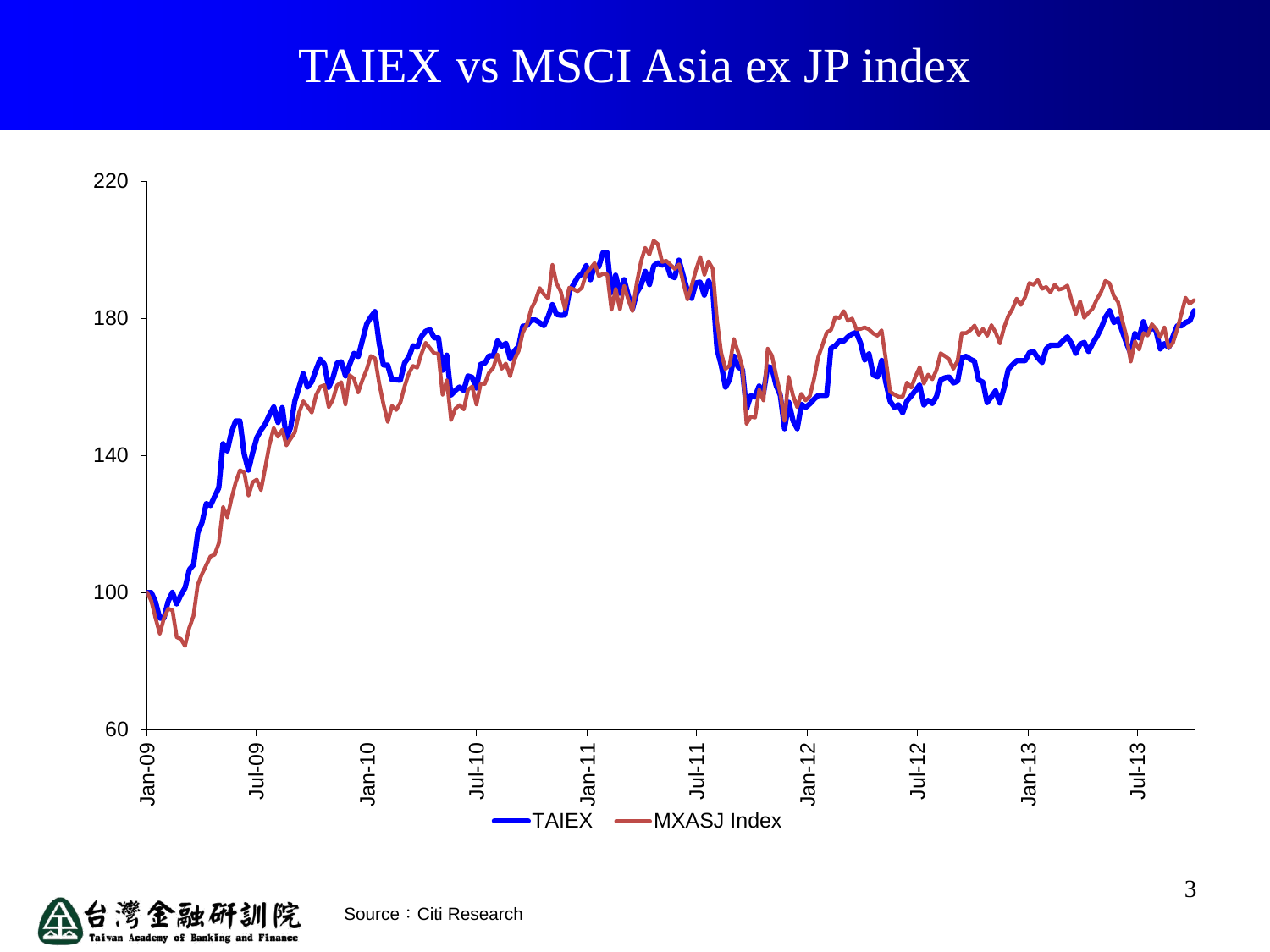## TAIEX vs MSCI Asia ex JP index



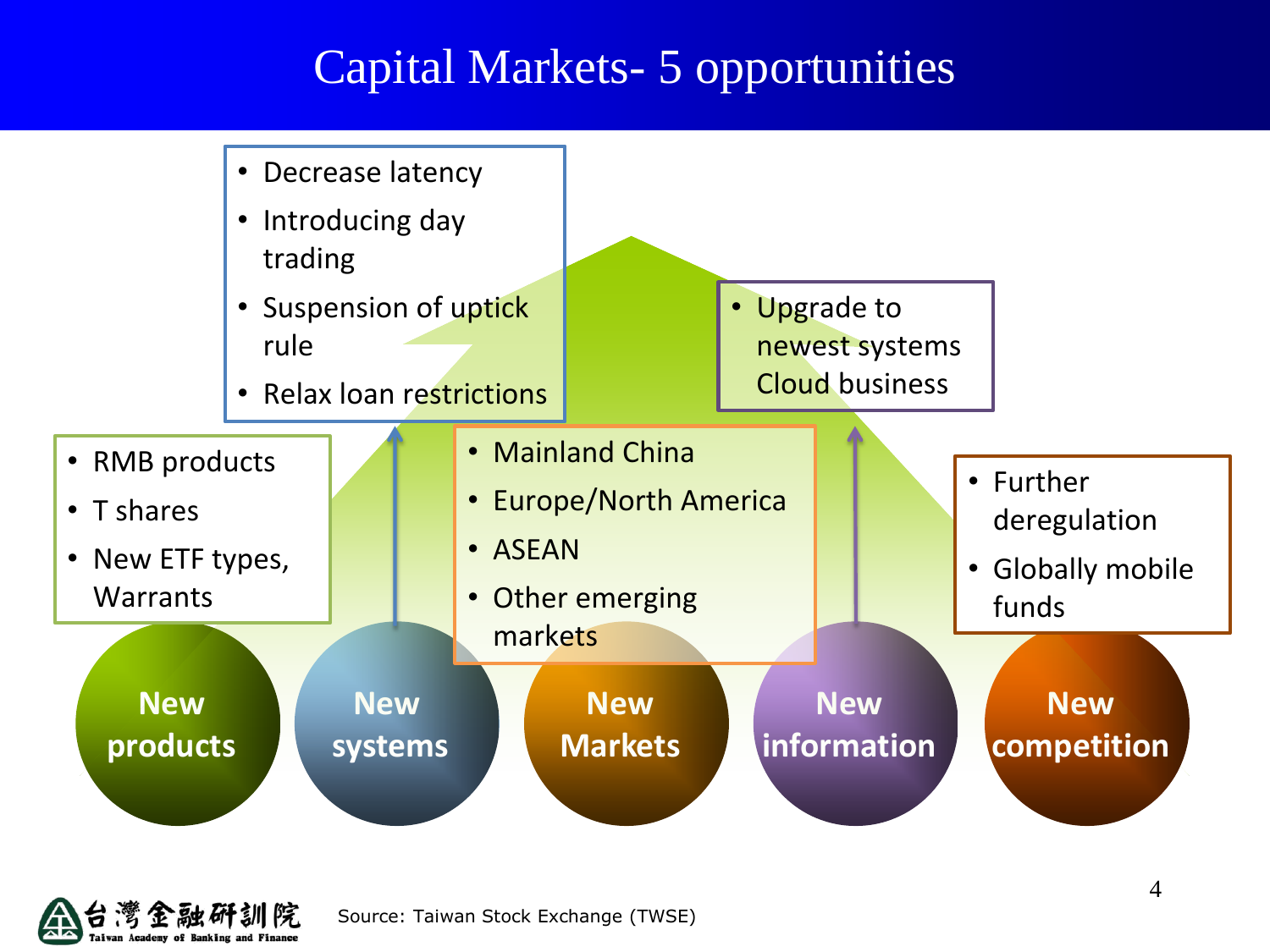## Capital Markets- 5 opportunities



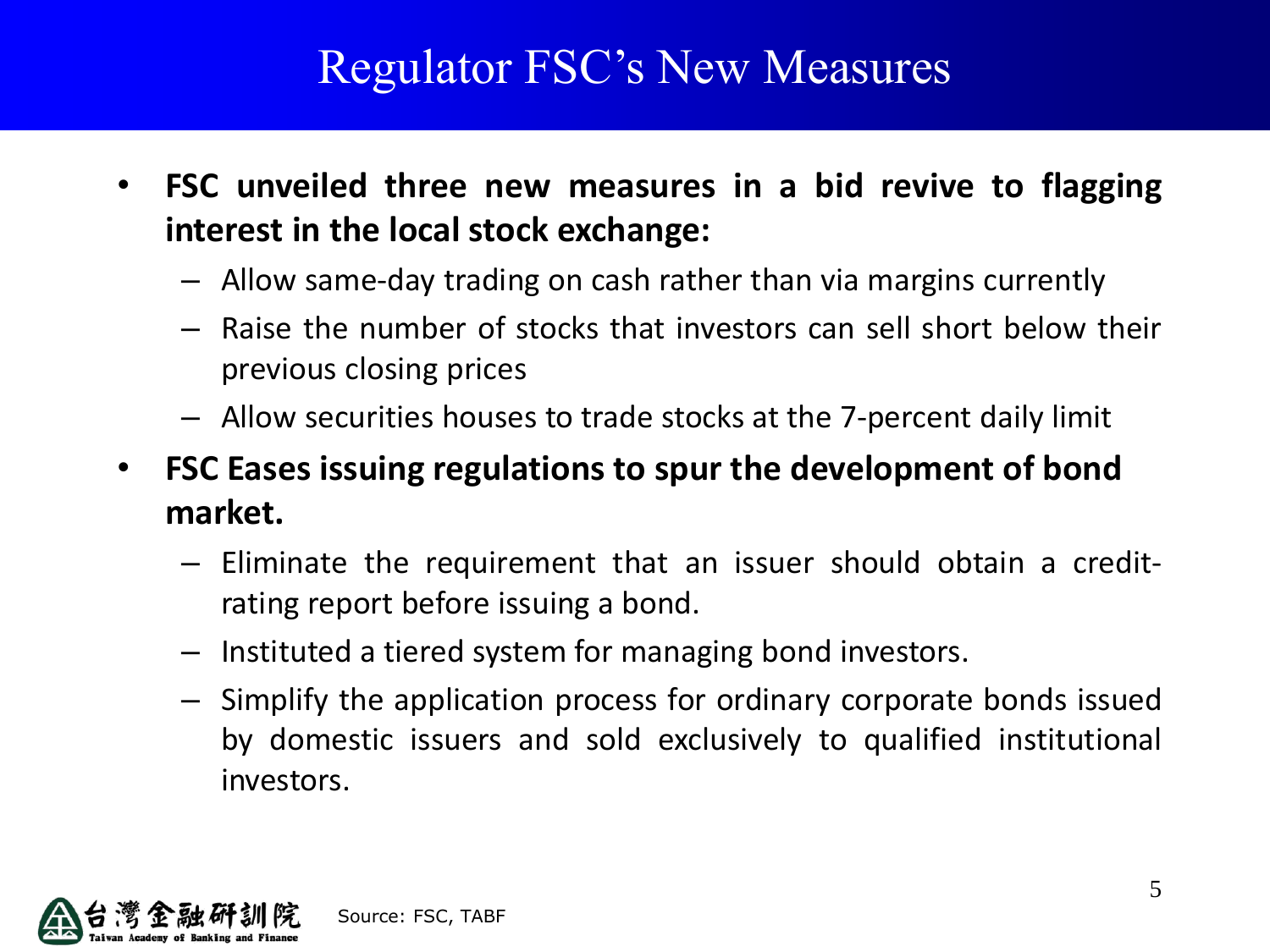## Regulator FSC's New Measures

- **FSC unveiled three new measures in a bid revive to flagging interest in the local stock exchange:**
	- Allow same-day trading on cash rather than via margins currently
	- Raise the number of stocks that investors can sell short below their previous closing prices
	- Allow securities houses to trade stocks at the 7-percent daily limit
- **FSC Eases issuing regulations to spur the development of bond market.**
	- Eliminate the requirement that an issuer should obtain a creditrating report before issuing a bond.
	- Instituted a tiered system for managing bond investors.
	- Simplify the application process for ordinary corporate bonds issued by domestic issuers and sold exclusively to qualified institutional investors.

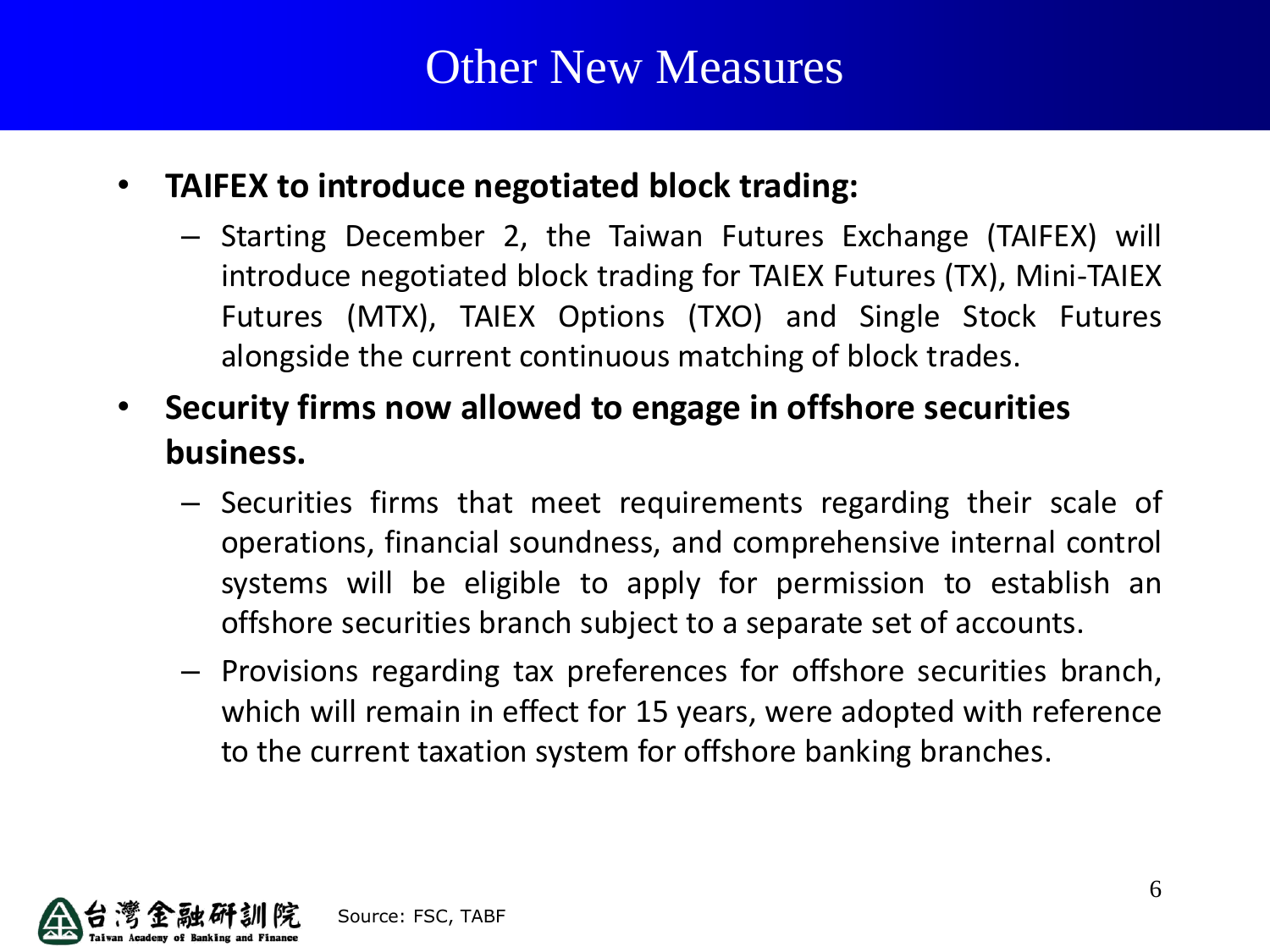#### • **TAIFEX to introduce negotiated block trading:**

- Starting December 2, the Taiwan Futures Exchange (TAIFEX) will introduce negotiated block trading for TAIEX Futures (TX), Mini-TAIEX Futures (MTX), TAIEX Options (TXO) and Single Stock Futures alongside the current continuous matching of block trades.
- **Security firms now allowed to engage in offshore securities business.**
	- Securities firms that meet requirements regarding their scale of operations, financial soundness, and comprehensive internal control systems will be eligible to apply for permission to establish an offshore securities branch subject to a separate set of accounts.
	- Provisions regarding tax preferences for offshore securities branch, which will remain in effect for 15 years, were adopted with reference to the current taxation system for offshore banking branches.

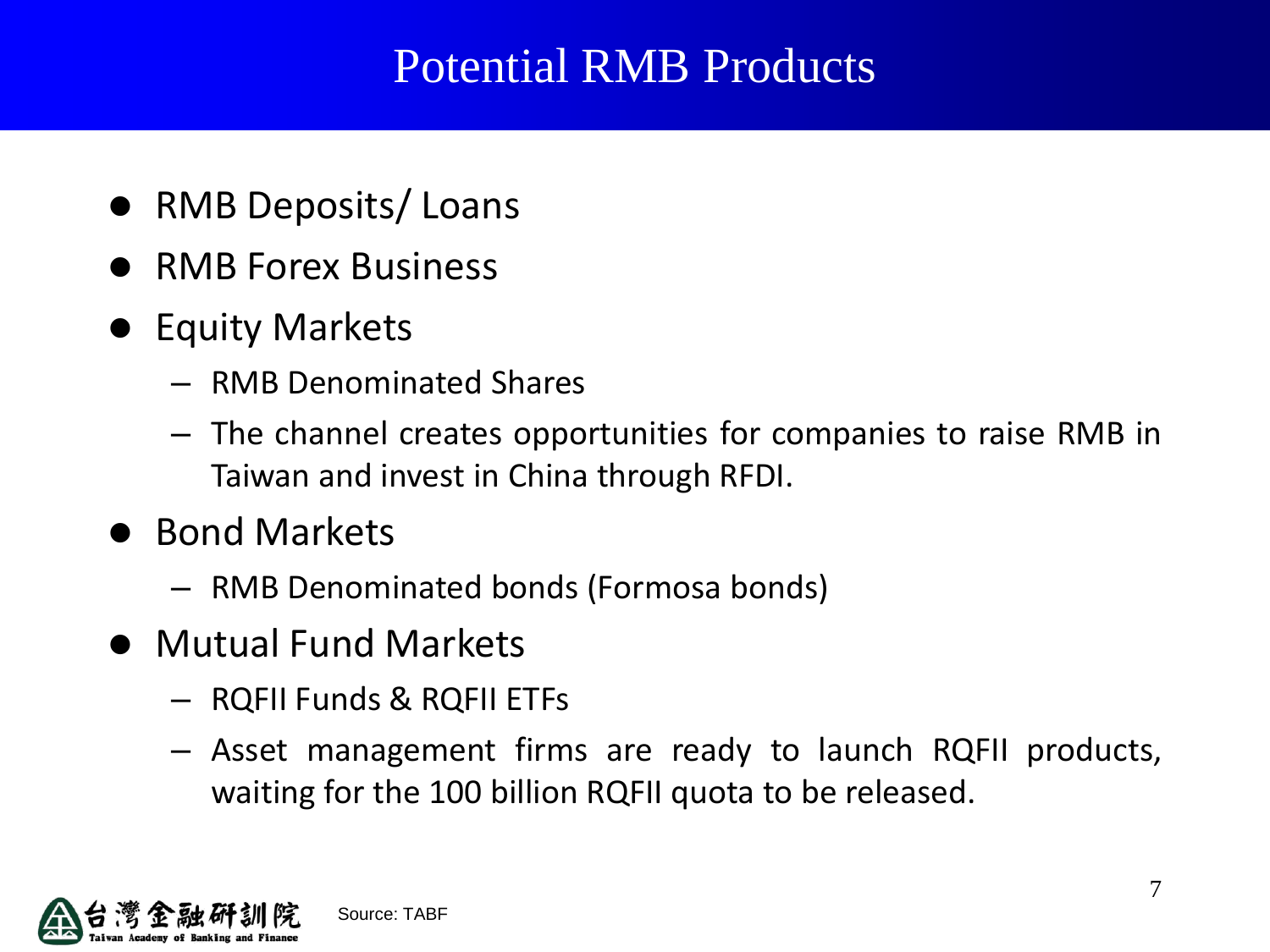## Potential RMB Products

- RMB Deposits/ Loans
- RMB Forex Business
- **•** Equity Markets
	- RMB Denominated Shares
	- The channel creates opportunities for companies to raise RMB in Taiwan and invest in China through RFDI.
- Bond Markets
	- RMB Denominated bonds (Formosa bonds)
- Mutual Fund Markets
	- RQFII Funds & RQFII ETFs
	- Asset management firms are ready to launch RQFII products, waiting for the 100 billion RQFII quota to be released.

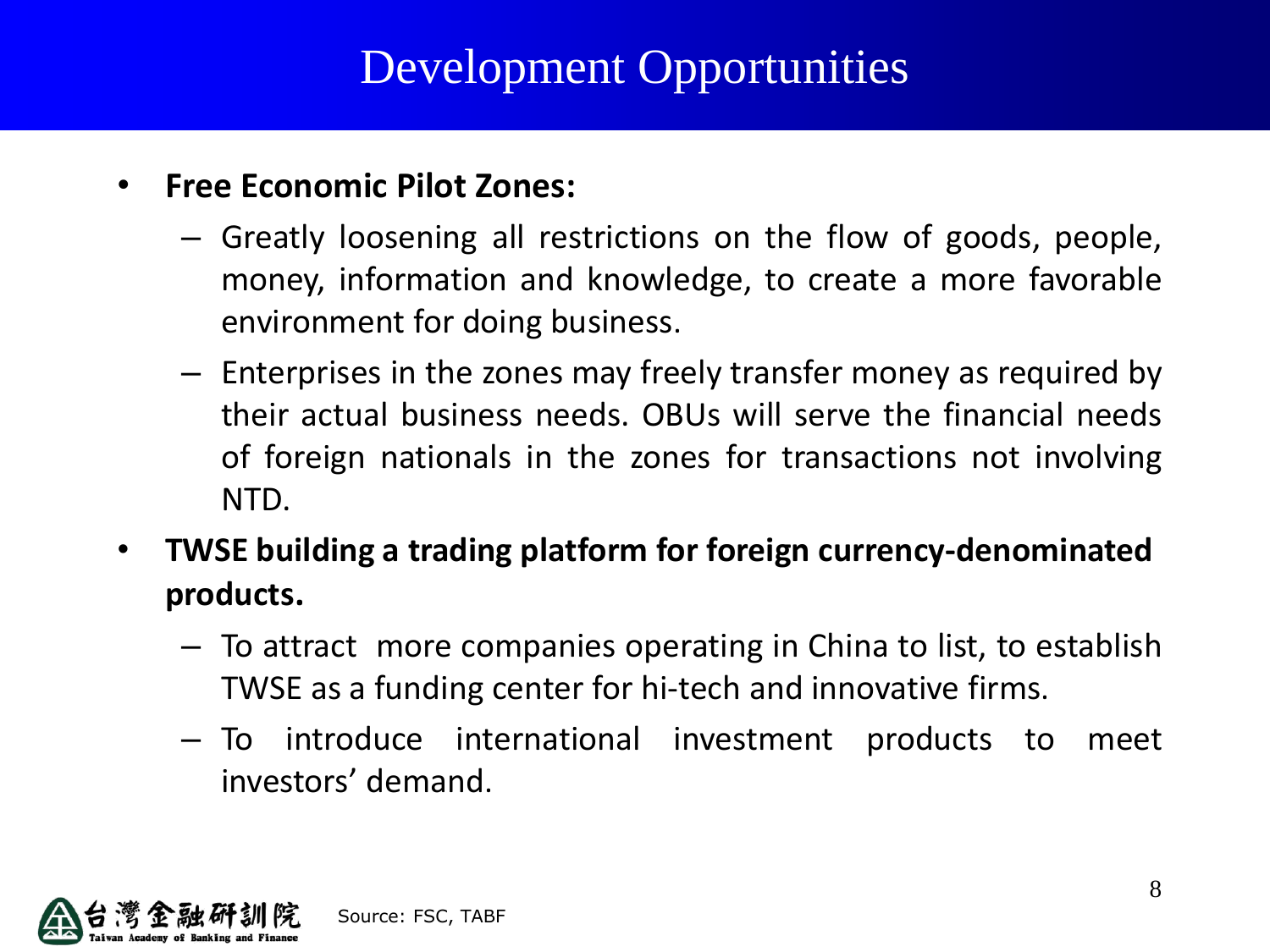## Development Opportunities

#### • **Free Economic Pilot Zones:**

- Greatly loosening all restrictions on the flow of goods, people, money, information and knowledge, to create a more favorable environment for doing business.
- Enterprises in the zones may freely transfer money as required by their actual business needs. OBUs will serve the financial needs of foreign nationals in the zones for transactions not involving NTD.
- **TWSE building a trading platform for foreign currency-denominated products.**
	- To attract more companies operating in China to list, to establish TWSE as a funding center for hi-tech and innovative firms.
	- To introduce international investment products to meet investors' demand.